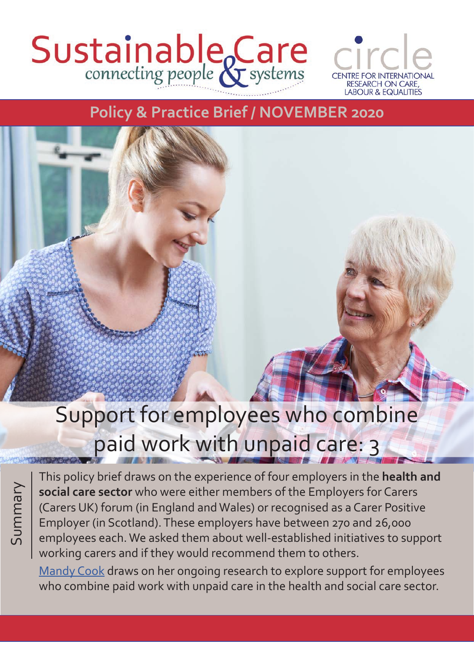# Sustainable Care



### **Policy & Practice Brief / NOVEMBER 2020**

## Support for employees who combine paid work with unpaid care: 3

Summary

This policy brief draws on the experience of four employers in the **health and social care sector** who were either members of the Employers for Carers (Carers UK) forum (in England and Wales) or recognised as a Carer Positive Employer (in Scotland). These employers have between 270 and 26,000 employees each. We asked them about well-established initiatives to support working carers and if they would recommend them to others.

[Mandy Cook](http://circle.group.shef.ac.uk/about/dr-mandy-cook/) draws on her ongoing research to explore support for employees who combine paid work with unpaid care in the health and social care sector.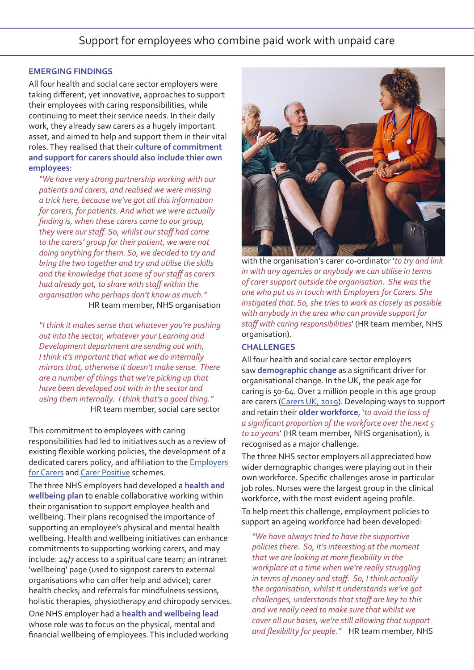#### **EMERGING FINDINGS**

All four health and social care sector employers were taking different, yet innovative, approaches to support their employees with caring responsibilities, while continuing to meet their service needs. In their daily work, they already saw carers as a hugely important asset, and aimed to help and support them in their vital roles. They realised that their **culture of commitment and support for carers should also include thier own employees**:

*"We have very strong partnership working with our patients and carers, and realised we were missing a trick here, because we've got all this information for carers, for patients. And what we were actually finding is, when these carers came to our group, they were our staff. So, whilst our staff had come to the carers' group for their patient, we were not doing anything for them. So, we decided to try and bring the two together and try and utilise the skills and the knowledge that some of our staff as carers had already got, to share with staff within the organisation who perhaps don't know as much."* HR team member, NHS organisation

*"I think it makes sense that whatever you're pushing out into the sector, whatever your Learning and Development department are sending out with, I think it's important that what we do internally mirrors that, otherwise it doesn't make sense. There are a number of things that we're picking up that have been developed out with in the sector and using them internally. I think that's a good thing."* HR team member, social care sector

This commitment to employees with caring responsibilities had led to initiatives such as a review of existing flexible working policies, the development of a dedicated carers policy, and affiliation to the **Employers** [for Carers](https://www.employersforcarers.org/) and [Carer Positive](http://www.carerpositive.org/) schemes.

The three NHS employers had developed a **health and wellbeing plan** to enable collaborative working within their organisation to support employee health and wellbeing. Their plans recognised the importance of supporting an employee's physical and mental health wellbeing. Health and wellbeing initiatives can enhance commitments to supporting working carers, and may include: 24/7 access to a spiritual care team; an intranet 'wellbeing' page (used to signpost carers to external organisations who can offer help and advice); carer health checks; and referrals for mindfulness sessions, holistic therapies, physiotherapy and chiropody services.

One NHS employer had a **health and wellbeing lead** whose role was to focus on the physical, mental and financial wellbeing of employees. This included working



with the organisation's carer co-ordinator '*to try and link in with any agencies or anybody we can utilise in terms of carer support outside the organisation. She was the one who put us in touch with Employers for Carers. She instigated that. So, she tries to work as closely as possible with anybody in the area who can provide support for staff with caring responsibilities*' (HR team member, NHS organisation).

#### **CHALLENGES**

All four health and social care sector employers saw **demographic change** as a significant driver for organisational change. In the UK, the peak age for caring is 50-64. Over 2 million people in this age group are carers [\(Carers UK, 2019\)](https://www.carersuk.org/images/Facts_about_Carers_2019.pdf). Developing ways to support and retain their **older workforce**, '*to avoid the loss of a significant proportion of the workforce over the next 5 to 10 years*' (HR team member, NHS organisation), is recognised as a major challenge.

The three NHS sector employers all appreciated how wider demographic changes were playing out in their own workforce. Specific challenges arose in particular job roles. Nurses were the largest group in the clinical workforce, with the most evident ageing profile.

To help meet this challenge, employment policies to support an ageing workforce had been developed:

*"We have always tried to have the supportive policies there. So, it's interesting at the moment that we are looking at more flexibility in the workplace at a time when we're really struggling in terms of money and staff. So, I think actually the organisation, whilst it understands we've got challenges, understands that staff are key to this and we really need to make sure that whilst we cover all our bases, we're still allowing that support and flexibility for people."* HR team member, NHS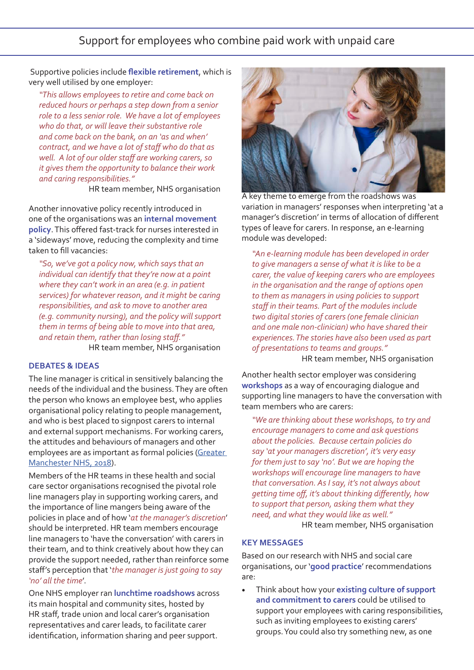Support for employees who combine paid work with unpaid care

 Supportive policies include **flexible retirement**, which is very well utilised by one employer:

*"This allows employees to retire and come back on reduced hours or perhaps a step down from a senior role to a less senior role. We have a lot of employees who do that, or will leave their substantive role and come back on the bank, on an 'as and when' contract, and we have a lot of staff who do that as well. A lot of our older staff are working carers, so it gives them the opportunity to balance their work and caring responsibilities."*

**HR team member, NHS organisation** 

Another innovative policy recently introduced in one of the organisations was an **internal movement policy**. This offered fast-track for nurses interested in a 'sideways' move, reducing the complexity and time taken to fill vacancies:

*"So, we've got a policy now, which says that an individual can identify that they're now at a point where they can't work in an area (e.g. in patient services) for whatever reason, and it might be caring responsibilities, and ask to move to another area (e.g. community nursing), and the policy will support them in terms of being able to move into that area, and retain them, rather than losing staff."* HR team member, NHS organisation

#### **DEBATES & IDEAS**

The line manager is critical in sensitively balancing the needs of the individual and the business. They are often the person who knows an employee best, who applies organisational policy relating to people management, and who is best placed to signpost carers to internal and external support mechanisms. For working carers, the attitudes and behaviours of managers and other employees are as important as formal policies [\(Greater](https://www.gmhsc.org.uk/wp-content/uploads/2018/11/GMCSU-Working-Carers-Toolkit-PRINT-VERSION-28112018c.pdf)  [Manchester NHS, 2018\)](https://www.gmhsc.org.uk/wp-content/uploads/2018/11/GMCSU-Working-Carers-Toolkit-PRINT-VERSION-28112018c.pdf).

Members of the HR teams in these health and social care sector organisations recognised the pivotal role line managers play in supporting working carers, and the importance of line mangers being aware of the policies in place and of how '*at the manager's discretion*' should be interpreted. HR team members encourage line managers to 'have the conversation' with carers in their team, and to think creatively about how they can provide the support needed, rather than reinforce some staff's perception that '*the manager is just going to say 'no' all the time*'.

One NHS employer ran **lunchtime roadshows** across its main hospital and community sites, hosted by HR staff, trade union and local carer's organisation representatives and carer leads, to facilitate carer identification, information sharing and peer support.



A key theme to emerge from the roadshows was variation in managers' responses when interpreting 'at a manager's discretion' in terms of allocation of different types of leave for carers. In response, an e-learning module was developed:

*"An e-learning module has been developed in order to give managers a sense of what it is like to be a carer, the value of keeping carers who are employees in the organisation and the range of options open to them as managers in using policies to support staff in their teams. Part of the modules include two digital stories of carers (one female clinician and one male non-clinician) who have shared their experiences. The stories have also been used as part of presentations to teams and groups."*

HR team member, NHS organisation

Another health sector employer was considering **workshops** as a way of encouraging dialogue and supporting line managers to have the conversation with team members who are carers:

*"We are thinking about these workshops, to try and encourage managers to come and ask questions about the policies. Because certain policies do say 'at your managers discretion', it's very easy for them just to say 'no'. But we are hoping the workshops will encourage line managers to have that conversation. As I say, it's not always about getting time off, it's about thinking differently, how to support that person, asking them what they need, and what they would like as well."*

HR team member, NHS organisation

#### **KEY MESSAGES**

Based on our research with NHS and social care organisations, our '**good practice**' recommendations are:

• Think about how your **existing culture of support and commitment to carers** could be utilised to support your employees with caring responsibilities, such as inviting employees to existing carers' groups. You could also try something new, as one